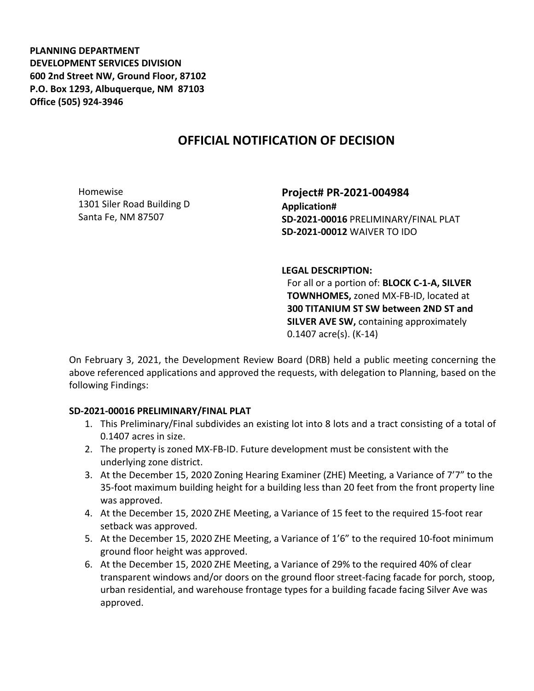**PLANNING DEPARTMENT DEVELOPMENT SERVICES DIVISION 600 2nd Street NW, Ground Floor, 87102 P.O. Box 1293, Albuquerque, NM 87103 Office (505) 924-3946** 

# **OFFICIAL NOTIFICATION OF DECISION**

Homewise 1301 Siler Road Building D Santa Fe, NM 87507

**Project# PR-2021-004984 Application# SD-2021-00016** PRELIMINARY/FINAL PLAT **SD-2021-00012** WAIVER TO IDO

#### **LEGAL DESCRIPTION:**

For all or a portion of: **BLOCK C-1-A, SILVER TOWNHOMES,** zoned MX-FB-ID, located at **300 TITANIUM ST SW between 2ND ST and SILVER AVE SW,** containing approximately 0.1407 acre(s). (K-14)

On February 3, 2021, the Development Review Board (DRB) held a public meeting concerning the above referenced applications and approved the requests, with delegation to Planning, based on the following Findings:

#### **SD-2021-00016 PRELIMINARY/FINAL PLAT**

- 1. This Preliminary/Final subdivides an existing lot into 8 lots and a tract consisting of a total of 0.1407 acres in size.
- 2. The property is zoned MX-FB-ID. Future development must be consistent with the underlying zone district.
- 3. At the December 15, 2020 Zoning Hearing Examiner (ZHE) Meeting, a Variance of 7'7" to the 35-foot maximum building height for a building less than 20 feet from the front property line was approved.
- 4. At the December 15, 2020 ZHE Meeting, a Variance of 15 feet to the required 15-foot rear setback was approved.
- 5. At the December 15, 2020 ZHE Meeting, a Variance of 1'6" to the required 10-foot minimum ground floor height was approved.
- 6. At the December 15, 2020 ZHE Meeting, a Variance of 29% to the required 40% of clear transparent windows and/or doors on the ground floor street-facing facade for porch, stoop, urban residential, and warehouse frontage types for a building facade facing Silver Ave was approved.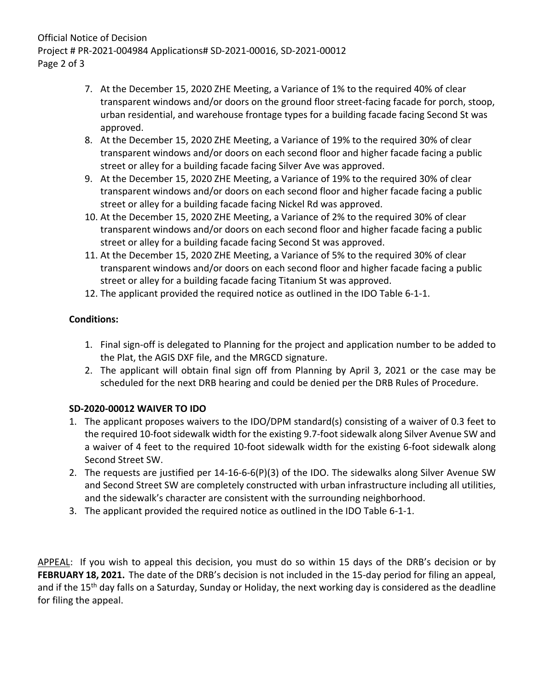## Official Notice of Decision Project # PR-2021-004984 Applications# SD-2021-00016, SD-2021-00012 Page 2 of 3

- 7. At the December 15, 2020 ZHE Meeting, a Variance of 1% to the required 40% of clear transparent windows and/or doors on the ground floor street-facing facade for porch, stoop, urban residential, and warehouse frontage types for a building facade facing Second St was approved.
- 8. At the December 15, 2020 ZHE Meeting, a Variance of 19% to the required 30% of clear transparent windows and/or doors on each second floor and higher facade facing a public street or alley for a building facade facing Silver Ave was approved.
- 9. At the December 15, 2020 ZHE Meeting, a Variance of 19% to the required 30% of clear transparent windows and/or doors on each second floor and higher facade facing a public street or alley for a building facade facing Nickel Rd was approved.
- 10. At the December 15, 2020 ZHE Meeting, a Variance of 2% to the required 30% of clear transparent windows and/or doors on each second floor and higher facade facing a public street or alley for a building facade facing Second St was approved.
- 11. At the December 15, 2020 ZHE Meeting, a Variance of 5% to the required 30% of clear transparent windows and/or doors on each second floor and higher facade facing a public street or alley for a building facade facing Titanium St was approved.
- 12. The applicant provided the required notice as outlined in the IDO Table 6-1-1.

## **Conditions:**

- 1. Final sign-off is delegated to Planning for the project and application number to be added to the Plat, the AGIS DXF file, and the MRGCD signature.
- 2. The applicant will obtain final sign off from Planning by April 3, 2021 or the case may be scheduled for the next DRB hearing and could be denied per the DRB Rules of Procedure.

## **SD-2020-00012 WAIVER TO IDO**

- 1. The applicant proposes waivers to the IDO/DPM standard(s) consisting of a waiver of 0.3 feet to the required 10-foot sidewalk width for the existing 9.7-foot sidewalk along Silver Avenue SW and a waiver of 4 feet to the required 10-foot sidewalk width for the existing 6-foot sidewalk along Second Street SW.
- 2. The requests are justified per 14-16-6-6(P)(3) of the IDO. The sidewalks along Silver Avenue SW and Second Street SW are completely constructed with urban infrastructure including all utilities, and the sidewalk's character are consistent with the surrounding neighborhood.
- 3. The applicant provided the required notice as outlined in the IDO Table 6-1-1.

APPEAL: If you wish to appeal this decision, you must do so within 15 days of the DRB's decision or by **FEBRUARY 18, 2021.** The date of the DRB's decision is not included in the 15-day period for filing an appeal, and if the 15<sup>th</sup> day falls on a Saturday, Sunday or Holiday, the next working day is considered as the deadline for filing the appeal.